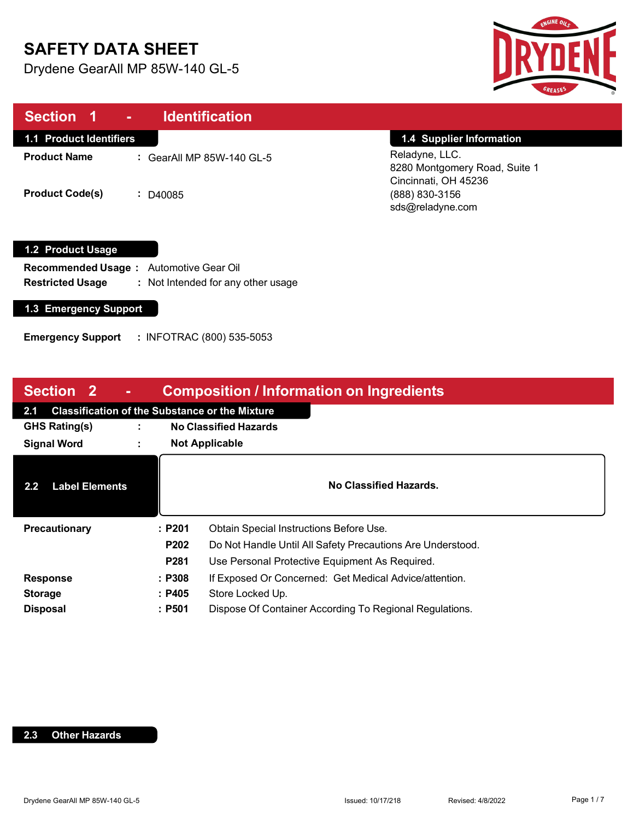# **SAFETY DATA SHEET**

Drydene GearAll MP 85W-140 GL-5



| Section 1<br>$\sim 100$        | <b>Identification</b>     |                                                                         |
|--------------------------------|---------------------------|-------------------------------------------------------------------------|
| <b>1.1 Product Identifiers</b> |                           | 1.4 Supplier Information                                                |
| <b>Product Name</b>            | : GearAll MP 85W-140 GL-5 | Reladyne, LLC.<br>8280 Montgomery Road, Suite 1<br>Cincinnati, OH 45236 |
| <b>Product Code(s)</b>         | $\div$ D40085             | (888) 830-3156<br>sds@reladyne.com                                      |

### **1.2 Product Usage**

**Recommended Usage :**  Automotive Gear Oil **Restricted Usage :** : Not Intended for any other usage

### **1.3 Emergency Support**

**Emergency Support :** INFOTRAC (800) 535-5053

| <b>Composition / Information on Ingredients</b><br><b>Section 2</b> |   |                       |                                                            |
|---------------------------------------------------------------------|---|-----------------------|------------------------------------------------------------|
| <b>Classification of the Substance or the Mixture</b><br>2.1        |   |                       |                                                            |
| <b>GHS Rating(s)</b>                                                | ÷ |                       | <b>No Classified Hazards</b>                               |
| <b>Signal Word</b>                                                  |   | <b>Not Applicable</b> |                                                            |
| <b>Label Elements</b><br>$2.2\phantom{0}$                           |   |                       | No Classified Hazards.                                     |
| Precautionary                                                       |   | :P201                 | Obtain Special Instructions Before Use.                    |
|                                                                     |   | P202                  | Do Not Handle Until All Safety Precautions Are Understood. |
|                                                                     |   | P <sub>281</sub>      | Use Personal Protective Equipment As Required.             |
| <b>Response</b>                                                     |   | : P308                | If Exposed Or Concerned: Get Medical Advice/attention.     |
| <b>Storage</b>                                                      |   | : P405                | Store Locked Up.                                           |
| <b>Disposal</b>                                                     |   | :P501                 | Dispose Of Container According To Regional Regulations.    |

### **2.3 Other Hazards**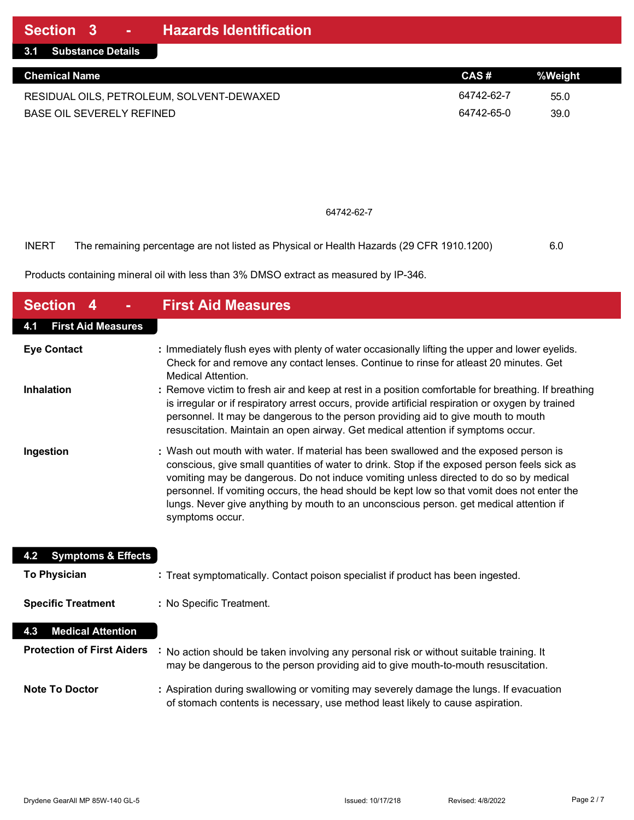| 3.1 Substance Details                     |            |         |
|-------------------------------------------|------------|---------|
| <b>Chemical Name</b>                      | CAS#       | %Weiaht |
| RESIDUAL OILS, PETROLEUM, SOLVENT-DEWAXED | 64742-62-7 | 55.0    |
| BASE OIL SEVERELY REFINED                 | 64742-65-0 | 39.0    |

#### 64742-62-7

INERT The remaining percentage are not listed as Physical or Health Hazards (29 CFR 1910.1200) 6.0

Products containing mineral oil with less than 3% DMSO extract as measured by IP-346.

| <b>Section 4</b>                     | <b>First Aid Measures</b>                                                                                                                                                                                                                                                                                                                                                                                                                                                                  |
|--------------------------------------|--------------------------------------------------------------------------------------------------------------------------------------------------------------------------------------------------------------------------------------------------------------------------------------------------------------------------------------------------------------------------------------------------------------------------------------------------------------------------------------------|
| <b>First Aid Measures</b><br>4.1     |                                                                                                                                                                                                                                                                                                                                                                                                                                                                                            |
| <b>Eye Contact</b>                   | : Immediately flush eyes with plenty of water occasionally lifting the upper and lower eyelids.<br>Check for and remove any contact lenses. Continue to rinse for atleast 20 minutes. Get<br><b>Medical Attention.</b>                                                                                                                                                                                                                                                                     |
| <b>Inhalation</b>                    | : Remove victim to fresh air and keep at rest in a position comfortable for breathing. If breathing<br>is irregular or if respiratory arrest occurs, provide artificial respiration or oxygen by trained<br>personnel. It may be dangerous to the person providing aid to give mouth to mouth<br>resuscitation. Maintain an open airway. Get medical attention if symptoms occur.                                                                                                          |
| Ingestion                            | : Wash out mouth with water. If material has been swallowed and the exposed person is<br>conscious, give small quantities of water to drink. Stop if the exposed person feels sick as<br>vomiting may be dangerous. Do not induce vomiting unless directed to do so by medical<br>personnel. If vomiting occurs, the head should be kept low so that vomit does not enter the<br>lungs. Never give anything by mouth to an unconscious person. get medical attention if<br>symptoms occur. |
| <b>Symptoms &amp; Effects</b><br>4.2 |                                                                                                                                                                                                                                                                                                                                                                                                                                                                                            |
| <b>To Physician</b>                  | : Treat symptomatically. Contact poison specialist if product has been ingested.                                                                                                                                                                                                                                                                                                                                                                                                           |
| <b>Specific Treatment</b>            | : No Specific Treatment.                                                                                                                                                                                                                                                                                                                                                                                                                                                                   |
| <b>Medical Attention</b><br>4.3      |                                                                                                                                                                                                                                                                                                                                                                                                                                                                                            |
| <b>Protection of First Aiders</b>    | No action should be taken involving any personal risk or without suitable training. It<br>may be dangerous to the person providing aid to give mouth-to-mouth resuscitation.                                                                                                                                                                                                                                                                                                               |
| <b>Note To Doctor</b>                | : Aspiration during swallowing or vomiting may severely damage the lungs. If evacuation<br>of stomach contents is necessary, use method least likely to cause aspiration.                                                                                                                                                                                                                                                                                                                  |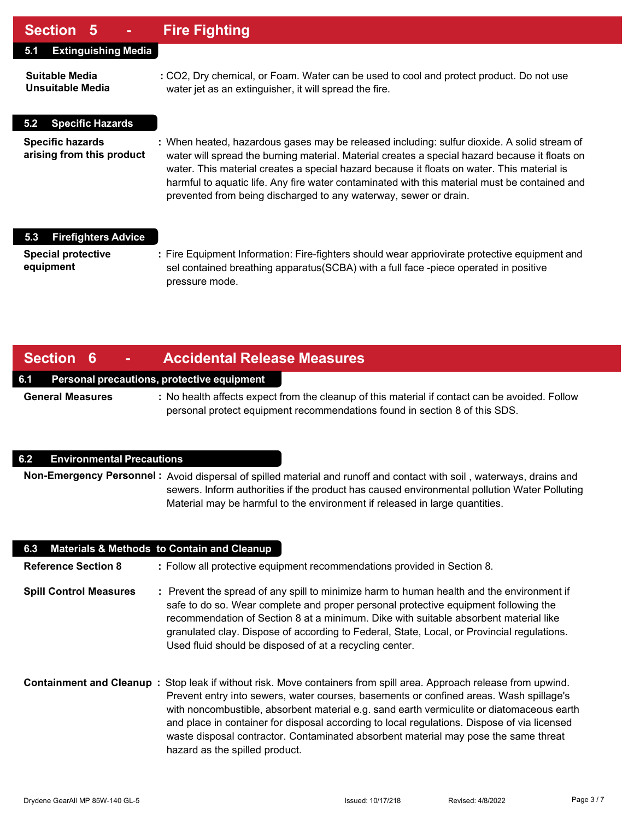### **Section 5 - Fire Fighting**

| UUUNUI V                                             |                                                                                                                                                                                                                                                                                                                                                                                                                                                                  |
|------------------------------------------------------|------------------------------------------------------------------------------------------------------------------------------------------------------------------------------------------------------------------------------------------------------------------------------------------------------------------------------------------------------------------------------------------------------------------------------------------------------------------|
| <b>Extinguishing Media</b><br>5.1                    |                                                                                                                                                                                                                                                                                                                                                                                                                                                                  |
| Suitable Media<br>Unsuitable Media                   | : CO2, Dry chemical, or Foam. Water can be used to cool and protect product. Do not use<br>water jet as an extinguisher, it will spread the fire.                                                                                                                                                                                                                                                                                                                |
| <b>Specific Hazards</b><br>5.2                       |                                                                                                                                                                                                                                                                                                                                                                                                                                                                  |
| <b>Specific hazards</b><br>arising from this product | : When heated, hazardous gases may be released including: sulfur dioxide. A solid stream of<br>water will spread the burning material. Material creates a special hazard because it floats on<br>water. This material creates a special hazard because it floats on water. This material is<br>harmful to aquatic life. Any fire water contaminated with this material must be contained and<br>prevented from being discharged to any waterway, sewer or drain. |
| <b>Firefighters Advice</b><br>5.3                    |                                                                                                                                                                                                                                                                                                                                                                                                                                                                  |
| <b>Special protective</b><br>equipment               | : Fire Equipment Information: Fire-fighters should wear appriovirate protective equipment and<br>sel contained breathing apparatus (SCBA) with a full face -piece operated in positive<br>pressure mode.                                                                                                                                                                                                                                                         |

### **Section 6 - Accidental Release Measures**

### **6.1 Personal precautions, protective equipment**

**General Measures :** No health affects expect from the cleanup of this material if contact can be avoided. Follow personal protect equipment recommendations found in section 8 of this SDS.

#### **6.2 Environmental Precautions**

**Non-Emergency Personnel :** Avoid dispersal of spilled material and runoff and contact with soil , waterways, drains and sewers. Inform authorities if the product has caused environmental pollution Water Polluting Material may be harmful to the environment if released in large quantities.

| 6.3                           | <b>Materials &amp; Methods to Contain and Cleanup</b>                                                                                                                                                                                                                                                                                                                                                                                                                                                                             |
|-------------------------------|-----------------------------------------------------------------------------------------------------------------------------------------------------------------------------------------------------------------------------------------------------------------------------------------------------------------------------------------------------------------------------------------------------------------------------------------------------------------------------------------------------------------------------------|
| <b>Reference Section 8</b>    | : Follow all protective equipment recommendations provided in Section 8.                                                                                                                                                                                                                                                                                                                                                                                                                                                          |
| <b>Spill Control Measures</b> | : Prevent the spread of any spill to minimize harm to human health and the environment if<br>safe to do so. Wear complete and proper personal protective equipment following the<br>recommendation of Section 8 at a minimum. Dike with suitable absorbent material like<br>granulated clay. Dispose of according to Federal, State, Local, or Provincial regulations.<br>Used fluid should be disposed of at a recycling center.                                                                                                 |
|                               | Containment and Cleanup: Stop leak if without risk. Move containers from spill area. Approach release from upwind.<br>Prevent entry into sewers, water courses, basements or confined areas. Wash spillage's<br>with noncombustible, absorbent material e.g. sand earth vermiculite or diatomaceous earth<br>and place in container for disposal according to local regulations. Dispose of via licensed<br>waste disposal contractor. Contaminated absorbent material may pose the same threat<br>hazard as the spilled product. |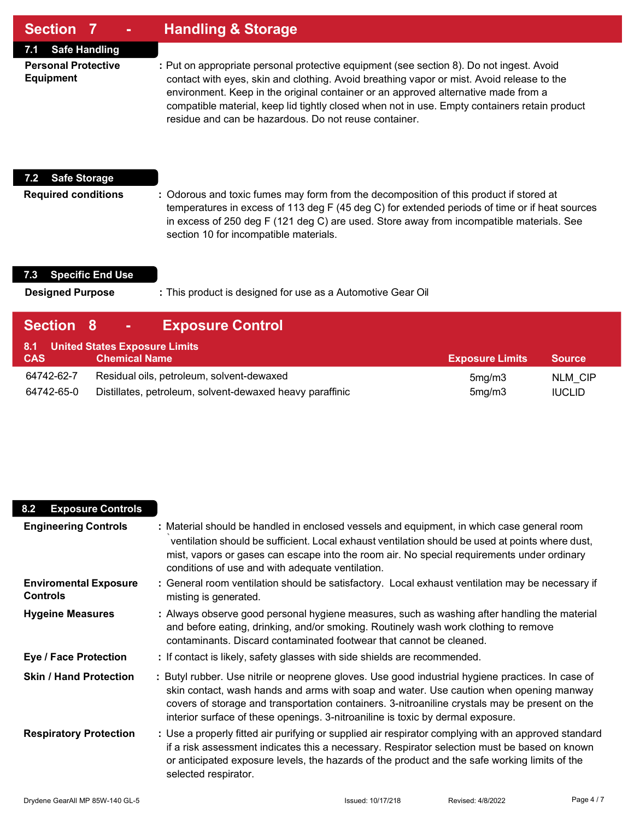### **Section 7 - Handling & Storage**

**7.1 Safe Handling**

**Personal Protective :** Put on appropriate personal protective equipment (see section 8). Do not ingest. Avoid **Equipment** contact with eyes, skin and clothing. Avoid breathing vapor or mist. Avoid release to the environment. Keep in the original container or an approved alternative made from a compatible material, keep lid tightly closed when not in use. Empty containers retain product residue and can be hazardous. Do not reuse container.

### **7.2 Safe Storage**

**Required conditions :** Odorous and toxic fumes may form from the decomposition of this product if stored at temperatures in excess of 113 deg F (45 deg C) for extended periods of time or if heat sources in excess of 250 deg F (121 deg C) are used. Store away from incompatible materials. See section 10 for incompatible materials.

### **7.3 Specific End Use**

**Designed Purpose :** This product is designed for use as a Automotive Gear Oil

| <b>Section 8</b>         | <b>Exposure Control</b><br><b>Common</b>                                                              |                        |                                 |
|--------------------------|-------------------------------------------------------------------------------------------------------|------------------------|---------------------------------|
| <b>CAS</b>               | 8.1 United States Exposure Limits<br><b>Chemical Name</b>                                             | <b>Exposure Limits</b> | <b>Source</b>                   |
| 64742-62-7<br>64742-65-0 | Residual oils, petroleum, solvent-dewaxed<br>Distillates, petroleum, solvent-dewaxed heavy paraffinic | 5mg/m3<br>5mg/m3       | <b>NLM CIP</b><br><b>IUCLID</b> |

### **8.2 Exposure Controls Engineering Controls :** Material should be handled in enclosed vessels and equipment, in which case general room `ventilation should be sufficient. Local exhaust ventilation should be used at points where dust, mist, vapors or gases can escape into the room air. No special requirements under ordinary conditions of use and with adequate ventilation. **Enviromental Exposure :** General room ventilation should be satisfactory. Local exhaust ventilation may be necessary if **Controls** misting is generated. **Hygeine Measures :** Always observe good personal hygiene measures, such as washing after handling the material and before eating, drinking, and/or smoking. Routinely wash work clothing to remove contaminants. Discard contaminated footwear that cannot be cleaned. **Eye / Face Protection :** If contact is likely, safety glasses with side shields are recommended. **Skin / Hand Protection :** Butyl rubber. Use nitrile or neoprene gloves. Use good industrial hygiene practices. In case of skin contact, wash hands and arms with soap and water. Use caution when opening manway covers of storage and transportation containers. 3-nitroaniline crystals may be present on the interior surface of these openings. 3-nitroaniline is toxic by dermal exposure. **Respiratory Protection :** Use a properly fitted air purifying or supplied air respirator complying with an approved standard if a risk assessment indicates this a necessary. Respirator selection must be based on known or anticipated exposure levels, the hazards of the product and the safe working limits of the selected respirator.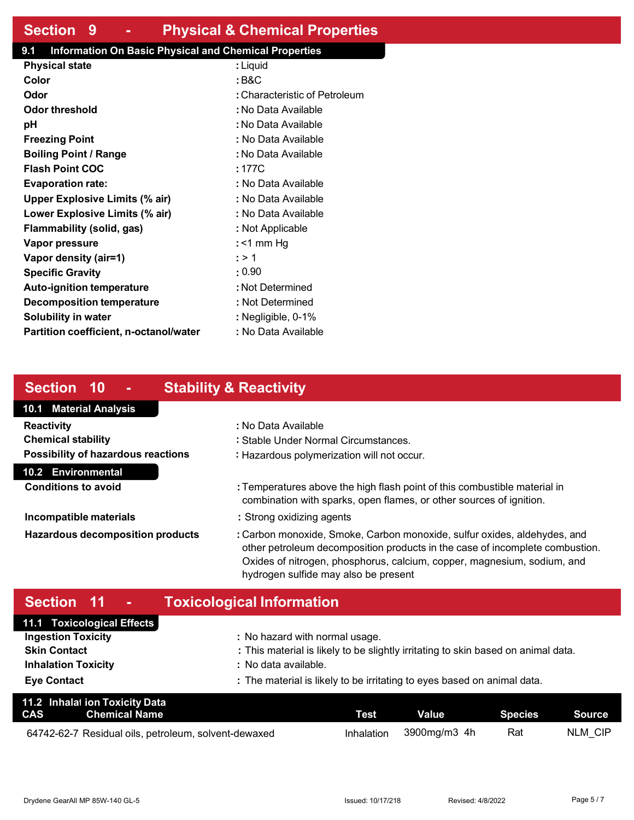## **Section 9 - Physical & Chemical Properties**

### **9.1 Information On Basic Physical and Chemical Properties**

| <b>Physical state</b>                  | : Liquid                      |
|----------------------------------------|-------------------------------|
| Color                                  | : B&C                         |
| Odor                                   | : Characteristic of Petroleum |
| Odor threshold                         | : No Data Available           |
| рH                                     | : No Data Available           |
| <b>Freezing Point</b>                  | : No Data Available           |
| <b>Boiling Point / Range</b>           | : No Data Available           |
| <b>Flash Point COC</b>                 | : 177C                        |
| <b>Evaporation rate:</b>               | : No Data Available           |
| <b>Upper Explosive Limits (% air)</b>  | : No Data Available           |
| Lower Explosive Limits (% air)         | : No Data Available           |
| Flammability (solid, gas)              | : Not Applicable              |
| Vapor pressure                         | : <1 mm Hq                    |
| Vapor density (air=1)                  | : > 1                         |
| <b>Specific Gravity</b>                | : 0.90                        |
| <b>Auto-ignition temperature</b>       | : Not Determined              |
| Decomposition temperature              | : Not Determined              |
| <b>Solubility in water</b>             | : Negligible, 0-1%            |
| Partition coefficient, n-octanol/water | : No Data Available           |

## **Section 10 - Stability & Reactivity**

## **10.1 Material Analysis Reactivity :** No Data Available

**Chemical stability :** Stable Under Normal Circumstances. **Possibility of hazardous reactions :** Hazardous polymerization will not occur.

#### **10.2 Environmental**

**Conditions to avoid :** Temperatures above the high flash point of this combustible material in

combination with sparks, open flames, or other sources of ignition.

- **Incompatible materials incompatible materials incompatible materials**
- **Hazardous decomposition products :** Carbon monoxide, Smoke, Carbon monoxide, sulfur oxides, aldehydes, and other petroleum decomposition products in the case of incomplete combustion. Oxides of nitrogen, phosphorus, calcium, copper, magnesium, sodium, and hydrogen sulfide may also be present

## **Section 11 - Toxicological Information**

| 11.1 Toxicological Effects |                                                                                   |
|----------------------------|-----------------------------------------------------------------------------------|
| <b>Ingestion Toxicity</b>  | : No hazard with normal usage.                                                    |
| <b>Skin Contact</b>        | : This material is likely to be slightly irritating to skin based on animal data. |
| <b>Inhalation Toxicity</b> | : No data available.                                                              |
| <b>Eye Contact</b>         | : The material is likely to be irritating to eyes based on animal data.           |

| 11.2 Inhalat ion Toxicity Data<br><b>CAS</b><br>Chemical Name | Test       | <b>Value</b> | Species | Source <b>Source</b> |
|---------------------------------------------------------------|------------|--------------|---------|----------------------|
| 64742-62-7 Residual oils, petroleum, solvent-dewaxed          | Inhalation | 3900mg/m3_4h | Rat     | NLM CIP              |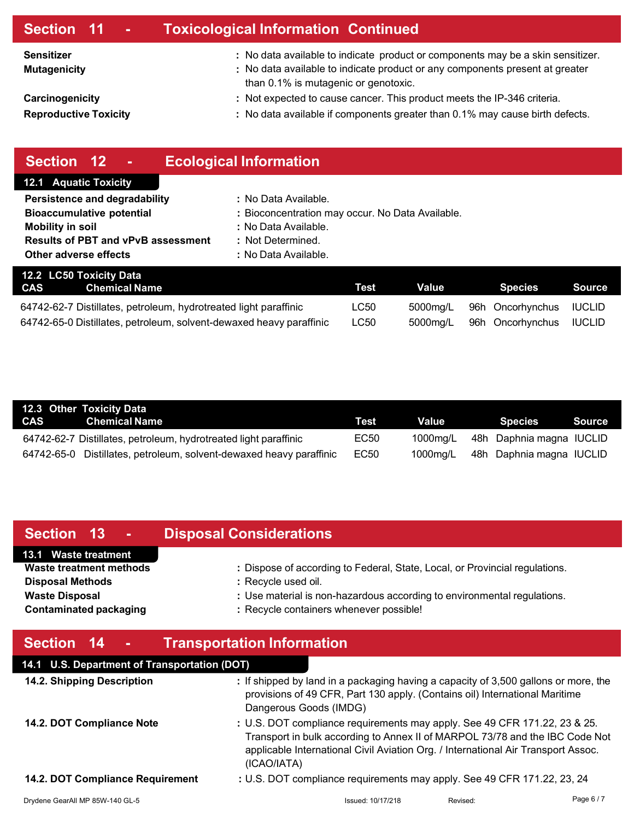| Section 11 -                                    | <b>Toxicological Information Continued</b>                                                                                                                                                              |
|-------------------------------------------------|---------------------------------------------------------------------------------------------------------------------------------------------------------------------------------------------------------|
| <b>Sensitizer</b><br><b>Mutagenicity</b>        | : No data available to indicate product or components may be a skin sensitizer.<br>: No data available to indicate product or any components present at greater<br>than 0.1% is mutagenic or genotoxic. |
| Carcinogenicity<br><b>Reproductive Toxicity</b> | : Not expected to cause cancer. This product meets the IP-346 criteria.<br>: No data available if components greater than 0.1% may cause birth defects.                                                 |
|                                                 |                                                                                                                                                                                                         |

| Section 12<br>٠                                                     | <b>Ecological Information</b>                    |             |          |                  |               |
|---------------------------------------------------------------------|--------------------------------------------------|-------------|----------|------------------|---------------|
| <b>12.1 Aquatic Toxicity</b>                                        |                                                  |             |          |                  |               |
| Persistence and degradability                                       | : No Data Available.                             |             |          |                  |               |
| <b>Bioaccumulative potential</b>                                    | : Bioconcentration may occur. No Data Available. |             |          |                  |               |
| Mobility in soil                                                    | : No Data Available.                             |             |          |                  |               |
| <b>Results of PBT and vPvB assessment</b>                           | : Not Determined.                                |             |          |                  |               |
| Other adverse effects                                               | : No Data Available.                             |             |          |                  |               |
| 12.2 LC50 Toxicity Data                                             |                                                  |             |          |                  |               |
| <b>CAS</b><br><b>Chemical Name</b>                                  |                                                  | <b>Test</b> | Value    | <b>Species</b>   | <b>Source</b> |
| 64742-62-7 Distillates, petroleum, hydrotreated light paraffinic    |                                                  | LC50        | 5000mg/L | 96h Oncorhynchus | <b>IUCLID</b> |
| 64742-65-0 Distillates, petroleum, solvent-dewaxed heavy paraffinic |                                                  | <b>LC50</b> | 5000mg/L | 96h Oncorhynchus | <b>IUCLID</b> |

| 12.3 Other Toxicity Data                                            |             |          |                                   |        |
|---------------------------------------------------------------------|-------------|----------|-----------------------------------|--------|
| CAS Chemical Name                                                   | <b>Test</b> | Value l  | <b>Species</b>                    | Source |
| 64742-62-7 Distillates, petroleum, hydrotreated light paraffinic    | EC50        |          | 1000mg/L 48h Daphnia magna IUCLID |        |
| 64742-65-0 Distillates, petroleum, solvent-dewaxed heavy paraffinic | EC50        | 1000mg/L | 48h Daphnia magna IUCLID          |        |

## **Section 13 - Disposal Considerations**

### **13.1 Waste treatment**

**Disposal Methods because 1 :** Recycle used oil.

- **Waste treatment methods :** Dispose of according to Federal, State, Local, or Provincial regulations.
- **Waste Disposal Waste Disposal :** Use material is non-hazardous according to environmental regulations.
- **Contaminated packaging <b>EXEC :** Recycle containers whenever possible!

| Section 14<br><b>Transportation Information</b> |
|-------------------------------------------------|
|-------------------------------------------------|

| 14.1 U.S. Department of Transportation (DOT) |                                                                                                                                                                                                                                                               |          |          |
|----------------------------------------------|---------------------------------------------------------------------------------------------------------------------------------------------------------------------------------------------------------------------------------------------------------------|----------|----------|
| 14.2. Shipping Description                   | : If shipped by land in a packaging having a capacity of 3,500 gallons or more, the<br>provisions of 49 CFR, Part 130 apply. (Contains oil) International Maritime<br>Dangerous Goods (IMDG)                                                                  |          |          |
| 14.2. DOT Compliance Note                    | : U.S. DOT compliance requirements may apply. See 49 CFR 171.22, 23 & 25.<br>Transport in bulk according to Annex II of MARPOL 73/78 and the IBC Code Not<br>applicable International Civil Aviation Org. / International Air Transport Assoc.<br>(ICAO/IATA) |          |          |
| 14.2. DOT Compliance Requirement             | : U.S. DOT compliance requirements may apply. See 49 CFR 171.22, 23, 24                                                                                                                                                                                       |          |          |
| Drydene GearAll MP 85W-140 GL-5              | Issued: 10/17/218                                                                                                                                                                                                                                             | Revised: | Page 6/7 |